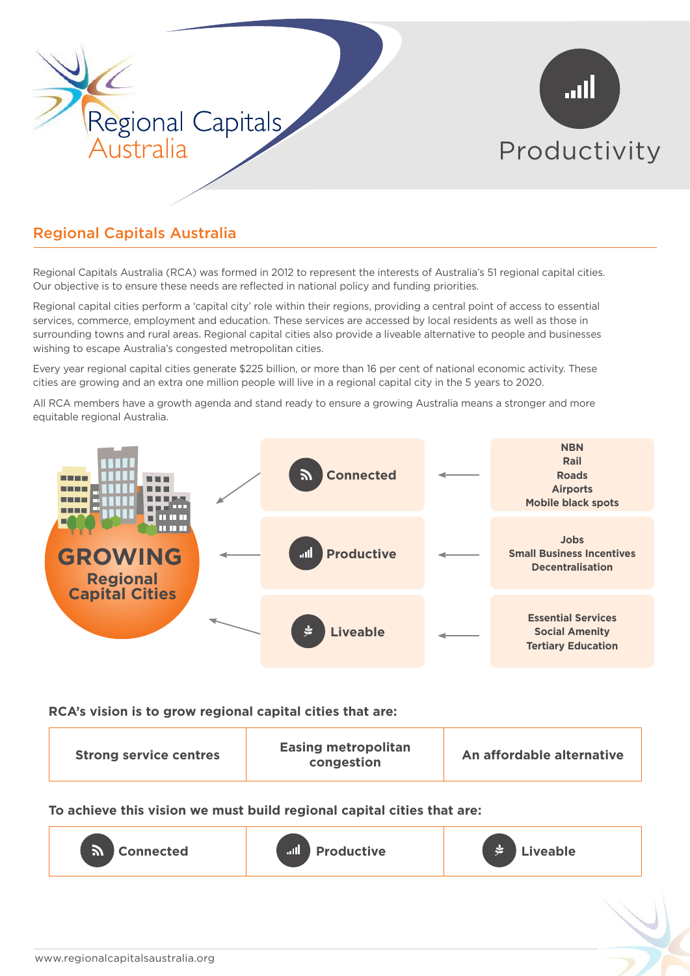

# Regional Capitals Australia

Regional Capitals Australia (RCA) was formed in 2012 to represent the interests of Australia's 51 regional capital cities. Our objective is to ensure these needs are reflected in national policy and funding priorities.

Regional capital cities perform a 'capital city' role within their regions, providing a central point of access to essential services, commerce, employment and education. These services are accessed by local residents as well as those in surrounding towns and rural areas. Regional capital cities also provide a liveable alternative to people and businesses wishing to escape Australia's congested metropolitan cities.

Every year regional capital cities generate \$225 billion, or more than 16 per cent of national economic activity. These cities are growing and an extra one million people will live in a regional capital city in the 5 years to 2020.

All RCA members have a growth agenda and stand ready to ensure a growing Australia means a stronger and more equitable regional Australia.



#### **RCA's vision is to grow regional capital cities that are:**

**To achieve this vision we must build regional capital cities that are:**